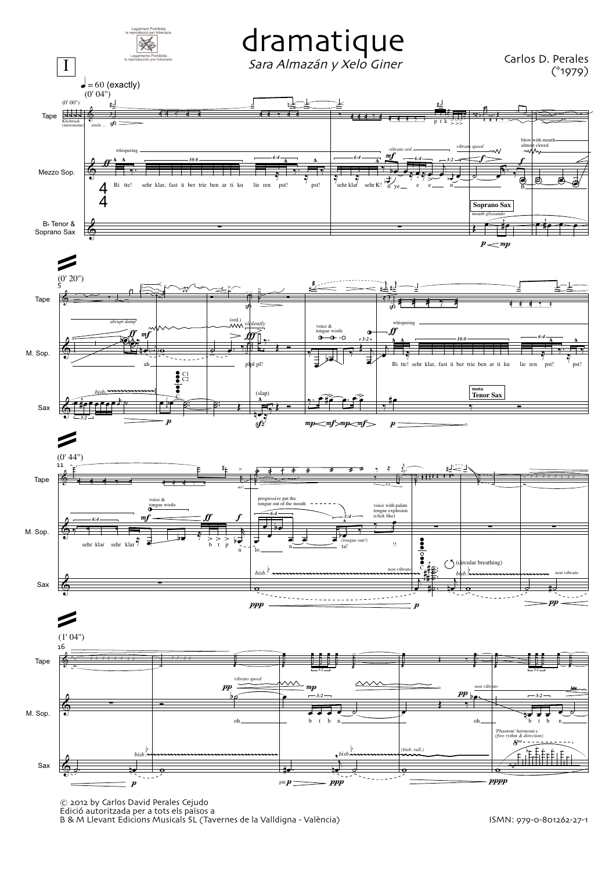

© 2012 by Carlos David Perales Cejudo

Edició autoritzada per a tots els països a B & M Llevant Edicions Musicals SL Tavernes de la Valldigna - Vale`ncia ISMN: 979-0-801262-27-1